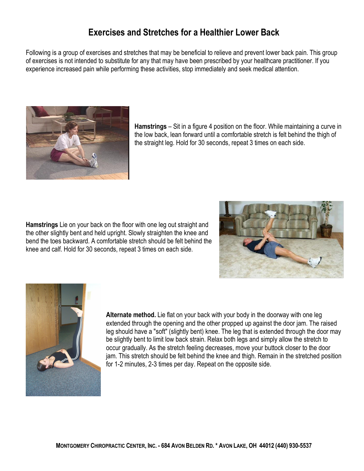## **Exercises and Stretches for a Healthier Lower Back**

Following is a group of exercises and stretches that may be beneficial to relieve and prevent lower back pain. This group of exercises is not intended to substitute for any that may have been prescribed by your healthcare practitioner. If you experience increased pain while performing these activities, stop immediately and seek medical attention.



**Hamstrings** – Sit in a figure 4 position on the floor. While maintaining a curve in the low back, lean forward until a comfortable stretch is felt behind the thigh of the straight leg. Hold for 30 seconds, repeat 3 times on each side.

**Hamstrings** Lie on your back on the floor with one leg out straight and the other slightly bent and held upright. Slowly straighten the knee and bend the toes backward. A comfortable stretch should be felt behind the knee and calf. Hold for 30 seconds, repeat 3 times on each side.





**Alternate method.** Lie flat on your back with your body in the doorway with one leg extended through the opening and the other propped up against the door jam. The raised leg should have a "soft" (slightly bent) knee. The leg that is extended through the door may be slightly bent to limit low back strain. Relax both legs and simply allow the stretch to occur gradually. As the stretch feeling decreases, move your buttock closer to the door jam. This stretch should be felt behind the knee and thigh. Remain in the stretched position for 1-2 minutes, 2-3 times per day. Repeat on the opposite side.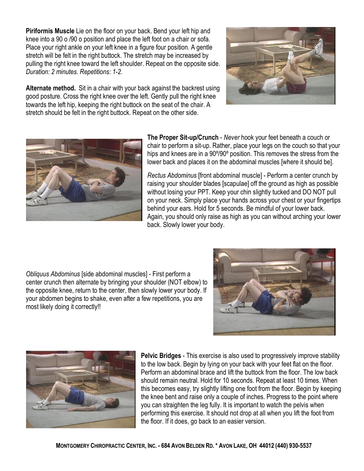**Piriformis Muscle** Lie on the floor on your back. Bend your left hip and knee into a 90 o /90 o position and place the left foot on a chair or sofa. Place your right ankle on your left knee in a figure four position. A gentle stretch will be felt in the right buttock. The stretch may be increased by pulling the right knee toward the left shoulder. Repeat on the opposite side. *Duration: 2 minutes. Repetitions: 12.*

**Alternate method.** Sit in a chair with your back against the backrest using good posture. Cross the right knee over the left. Gently pull the right knee towards the left hip, keeping the right buttock on the seat of the chair. A stretch should be felt in the right buttock. Repeat on the other side.



**The Proper Sit-up/Crunch** - Never hook your feet beneath a couch or chair to perform a sit-up. Rather, place your legs on the couch so that your hips and knees are in a 90º/90º position. This removes the stress from the lower back and places it on the abdominal muscles [where it should be].

*Rectus Abdominus* [front abdominal muscle] - Perform a center crunch by raising your shoulder blades [scapulae] off the ground as high as possible without losing your PPT. Keep your chin slightly tucked and DO NOT pull on your neck. Simply place your hands across your chest or your fingertips behind your ears. Hold for 5 seconds. Be mindful of your lower back. Again, you should only raise as high as you can without arching your lower back. Slowly lower your body.

*Obliquus Abdominus* [side abdominal muscles] First perform a center crunch then alternate by bringing your shoulder (NOT elbow) to the opposite knee, return to the center, then slowly lower your body. If your abdomen begins to shake, even after a few repetitions, you are most likely doing it correctly!!





**Pelvic Bridges** - This exercise is also used to progressively improve stability to the low back. Begin by lying on your back with your feet flat on the floor. Perform an abdominal brace and lift the buttock from the floor. The low back should remain neutral. Hold for 10 seconds. Repeat at least 10 times. When this becomes easy, try slightly lifting one foot from the floor. Begin by keeping the knee bent and raise only a couple of inches. Progress to the point where you can straighten the leg fully. It is important to watch the pelvis when performing this exercise. It should not drop at all when you lift the foot from the floor. If it does, go back to an easier version.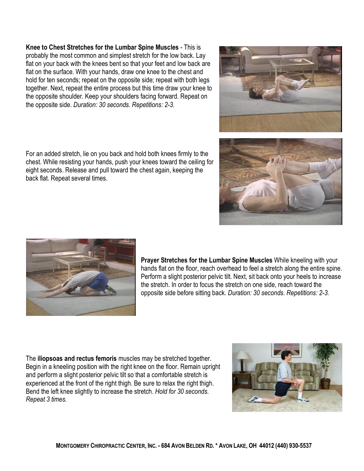**Knee to Chest Stretches for the Lumbar Spine Muscles** This is probably the most common and simplest stretch for the low back. Lay flat on your back with the knees bent so that your feet and low back are flat on the surface. With your hands, draw one knee to the chest and hold for ten seconds; repeat on the opposite side; repeat with both legs together. Next, repeat the entire process but this time draw your knee to the opposite shoulder. Keep your shoulders facing forward. Repeat on the opposite side. *Duration: 30 seconds. Repetitions: 23.*

For an added stretch, lie on you back and hold both knees firmly to the chest. While resisting your hands, push your knees toward the ceiling for eight seconds. Release and pull toward the chest again, keeping the back flat. Repeat several times.



The **iliopsoas and rectus femoris** muscles may be stretched together. Begin in a kneeling position with the right knee on the floor. Remain upright and perform a slight posterior pelvic tilt so that a comfortable stretch is experienced at the front of the right thigh. Be sure to relax the right thigh. Bend the left knee slightly to increase the stretch. *Hold for 30 seconds. Repeat 3 times.*